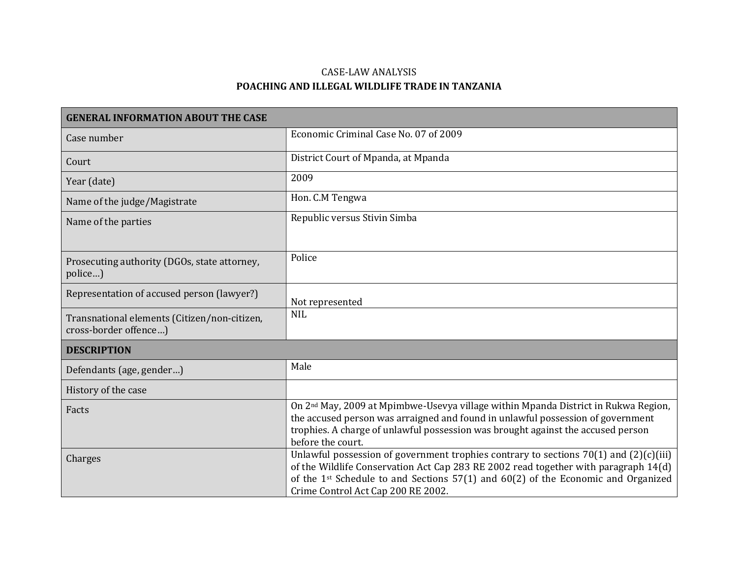## CASE-LAW ANALYSIS **POACHING AND ILLEGAL WILDLIFE TRADE IN TANZANIA**

| <b>GENERAL INFORMATION ABOUT THE CASE</b>                             |                                                                                                                                                                                                                                                                                                                 |
|-----------------------------------------------------------------------|-----------------------------------------------------------------------------------------------------------------------------------------------------------------------------------------------------------------------------------------------------------------------------------------------------------------|
| Case number                                                           | Economic Criminal Case No. 07 of 2009                                                                                                                                                                                                                                                                           |
| Court                                                                 | District Court of Mpanda, at Mpanda                                                                                                                                                                                                                                                                             |
| Year (date)                                                           | 2009                                                                                                                                                                                                                                                                                                            |
| Name of the judge/Magistrate                                          | Hon. C.M Tengwa                                                                                                                                                                                                                                                                                                 |
| Name of the parties                                                   | Republic versus Stivin Simba                                                                                                                                                                                                                                                                                    |
| Prosecuting authority (DGOs, state attorney,<br>police)               | Police                                                                                                                                                                                                                                                                                                          |
| Representation of accused person (lawyer?)                            | Not represented                                                                                                                                                                                                                                                                                                 |
| Transnational elements (Citizen/non-citizen,<br>cross-border offence) | <b>NIL</b>                                                                                                                                                                                                                                                                                                      |
| <b>DESCRIPTION</b>                                                    |                                                                                                                                                                                                                                                                                                                 |
| Defendants (age, gender)                                              | Male                                                                                                                                                                                                                                                                                                            |
| History of the case                                                   |                                                                                                                                                                                                                                                                                                                 |
| Facts                                                                 | On 2 <sup>nd</sup> May, 2009 at Mpimbwe-Usevya village within Mpanda District in Rukwa Region,<br>the accused person was arraigned and found in unlawful possession of government<br>trophies. A charge of unlawful possession was brought against the accused person<br>before the court.                      |
| Charges                                                               | Unlawful possession of government trophies contrary to sections $70(1)$ and $(2)(c)(iii)$<br>of the Wildlife Conservation Act Cap 283 RE 2002 read together with paragraph 14(d)<br>of the 1st Schedule to and Sections $57(1)$ and $60(2)$ of the Economic and Organized<br>Crime Control Act Cap 200 RE 2002. |